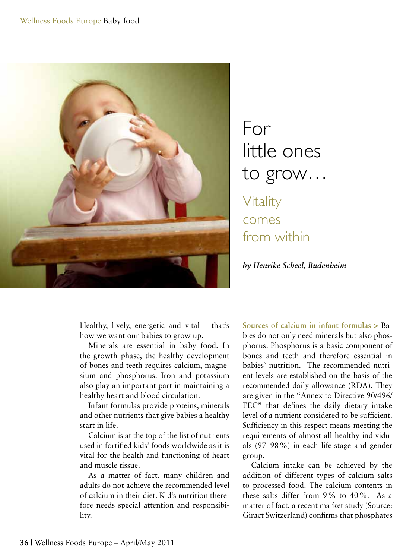

## For little ones to grow… Vitality comes from within

*by Henrike Scheel, Budenheim*

Healthy, lively, energetic and vital – that's how we want our babies to grow up.

Minerals are essential in baby food. In the growth phase, the healthy development of bones and teeth requires calcium, magnesium and phosphorus. Iron and potassium also play an important part in maintaining a healthy heart and blood circulation.

Infant formulas provide proteins, minerals and other nutrients that give babies a healthy start in life.

Calcium is at the top of the list of nutrients used in fortified kids' foods worldwide as it is vital for the health and functioning of heart and muscle tissue.

As a matter of fact, many children and adults do not achieve the recommended level of calcium in their diet. Kid's nutrition therefore needs special attention and responsibility.

**Sources of calcium in infant formulas >** Babies do not only need minerals but also phosphorus. Phosphorus is a basic component of bones and teeth and therefore essential in babies' nutrition. The recommended nutrient levels are established on the basis of the recommended daily allowance (RDA). They are given in the "Annex to Directive 90/496/ EEC" that defines the daily dietary intake level of a nutrient considered to be sufficient. Sufficiency in this respect means meeting the requirements of almost all healthy individuals (97–98%) in each life-stage and gender group.

Calcium intake can be achieved by the addition of different types of calcium salts to processed food. The calcium contents in these salts differ from 9% to 40%. As a matter of fact, a recent market study (Source: Giract Switzerland) confirms that phosphates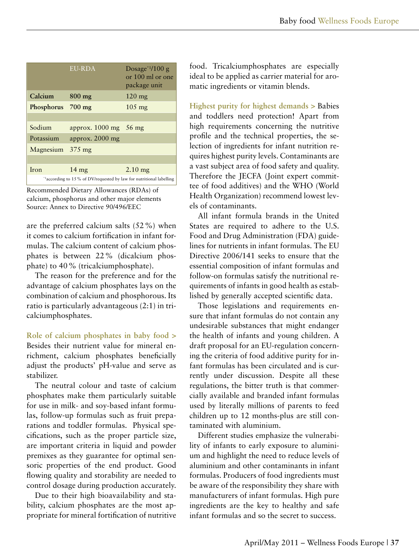|                                                                      | <b>EU-RDA</b>                   | Dosage $*1/100$ g<br>or 100 ml or one<br>package unit |
|----------------------------------------------------------------------|---------------------------------|-------------------------------------------------------|
| Calcium                                                              | $800$ mg                        | $120 \text{ mg}$                                      |
| Phosphorus 700 mg                                                    |                                 | $105 \text{ mg}$                                      |
|                                                                      |                                 |                                                       |
| Sodium                                                               | approx. $1000 \text{ mg}$ 56 mg |                                                       |
| Potassium                                                            | approx. 2000 mg                 |                                                       |
| Magnesium                                                            | $375 \text{ mg}$                |                                                       |
|                                                                      |                                 |                                                       |
| Iron                                                                 | $14 \text{ mg}$                 | $2.10$ mg                                             |
| *1according to 15 % of DV/requested by law for nutritional labelling |                                 |                                                       |

Recommended Dietary Allowances (RDAs) of calcium, phosphorus and other major elements Source: Annex to Directive 90/496/EEC

are the preferred calcium salts (52%) when it comes to calcium fortification in infant formulas. The calcium content of calcium phosphates is between 22% (dicalcium phosphate) to 40% (tricalciumphosphate).

The reason for the preference and for the advantage of calcium phosphates lays on the combination of calcium and phosphorous. Its ratio is particularly advantageous (2:1) in tricalciumphosphates.

**Role of calcium phosphates in baby food >** Besides their nutrient value for mineral enrichment, calcium phosphates beneficially adjust the products' pH-value and serve as stabilizer.

The neutral colour and taste of calcium phosphates make them particularly suitable for use in milk- and soy-based infant formulas, follow-up formulas such as fruit preparations and toddler formulas. Physical specifications, such as the proper particle size, are important criteria in liquid and powder premixes as they guarantee for optimal sensoric properties of the end product. Good flowing quality and storability are needed to control dosage during production accurately.

Due to their high bioavailability and stability, calcium phosphates are the most appropriate for mineral fortification of nutritive food. Tricalciumphosphates are especially ideal to be applied as carrier material for aromatic ingredients or vitamin blends.

**Highest purity for highest demands >** Babies and toddlers need protection! Apart from high requirements concerning the nutritive profile and the technical properties, the selection of ingredients for infant nutrition requires highest purity levels. Contaminants are a vast subject area of food safety and quality. Therefore the JECFA (Joint expert committee of food additives) and the WHO (World Health Organization) recommend lowest levels of contaminants.

All infant formula brands in the United States are required to adhere to the U.S. Food and Drug Administration (FDA) guidelines for nutrients in infant formulas. The EU Directive 2006/141 seeks to ensure that the essential composition of infant formulas and follow-on formulas satisfy the nutritional requirements of infants in good health as established by generally accepted scientific data.

Those legislations and requirements ensure that infant formulas do not contain any undesirable substances that might endanger the health of infants and young children. A draft proposal for an EU-regulation concerning the criteria of food additive purity for infant formulas has been circulated and is currently under discussion. Despite all these regulations, the bitter truth is that commercially available and branded infant formulas used by literally millions of parents to feed children up to 12 months-plus are still contaminated with aluminium.

Different studies emphasize the vulnerability of infants to early exposure to aluminium and highlight the need to reduce levels of aluminium and other contaminants in infant formulas. Producers of food ingredients must be aware of the responsibility they share with manufacturers of infant formulas. High pure ingredients are the key to healthy and safe infant formulas and so the secret to success.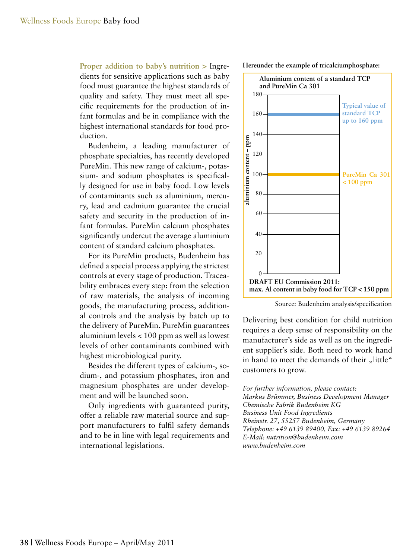**Proper addition to baby's nutrition >** Ingredients for sensitive applications such as baby food must guarantee the highest standards of quality and safety. They must meet all specific requirements for the production of infant formulas and be in compliance with the highest international standards for food production.

Budenheim, a leading manufacturer of phosphate specialties, has recently developed PureMin. This new range of calcium-, potassium- and sodium phosphates is specifically designed for use in baby food. Low levels of contaminants such as aluminium, mercury, lead and cadmium guarantee the crucial safety and security in the production of infant formulas. PureMin calcium phosphates significantly undercut the average aluminium content of standard calcium phosphates.

For its PureMin products, Budenheim has defined a special process applying the strictest controls at every stage of production. Traceability embraces every step: from the selection of raw materials, the analysis of incoming goods, the manufacturing process, additional controls and the analysis by batch up to the delivery of PureMin. PureMin guarantees aluminium levels < 100 ppm as well as lowest levels of other contaminants combined with highest microbiological purity.

Besides the different types of calcium-, sodium-, and potassium phosphates, iron and magnesium phosphates are under development and will be launched soon.

Only ingredients with guaranteed purity, offer a reliable raw material source and support manufacturers to fulfil safety demands and to be in line with legal requirements and international legislations.





Source: Budenheim analysis/specification

Delivering best condition for child nutrition requires a deep sense of responsibility on the manufacturer's side as well as on the ingredient supplier's side. Both need to work hand in hand to meet the demands of their "little" customers to grow.

*For further information, please contact: Markus Brümmer, Business Development Manager Chemische Fabrik Budenheim KG Business Unit Food Ingredients Rheinstr. 27, 55257 Budenheim, Germany Telephone: +49 6139 89400, Fax: +49 6139 89264 E-Mail: nutrition@budenheim.com www.budenheim.com*